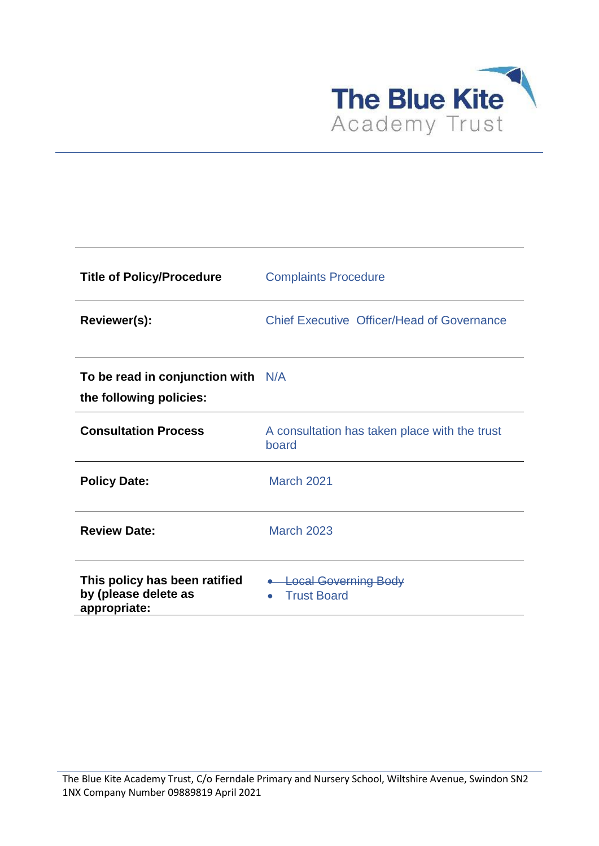

| <b>Title of Policy/Procedure</b>                                      | <b>Complaints Procedure</b>                               |
|-----------------------------------------------------------------------|-----------------------------------------------------------|
| Reviewer(s):                                                          | <b>Chief Executive Officer/Head of Governance</b>         |
| To be read in conjunction with $N/A$<br>the following policies:       |                                                           |
| <b>Consultation Process</b>                                           | A consultation has taken place with the trust<br>board    |
| <b>Policy Date:</b>                                                   | <b>March 2021</b>                                         |
| <b>Review Date:</b>                                                   | <b>March 2023</b>                                         |
| This policy has been ratified<br>by (please delete as<br>appropriate: | • Local Governing Body<br><b>Trust Board</b><br>$\bullet$ |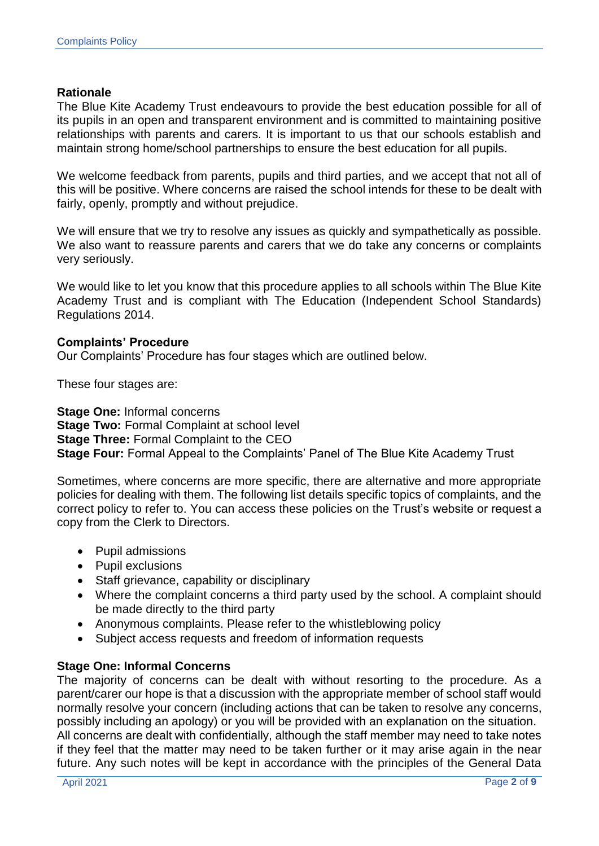## **Rationale**

The Blue Kite Academy Trust endeavours to provide the best education possible for all of its pupils in an open and transparent environment and is committed to maintaining positive relationships with parents and carers. It is important to us that our schools establish and maintain strong home/school partnerships to ensure the best education for all pupils.

We welcome feedback from parents, pupils and third parties, and we accept that not all of this will be positive. Where concerns are raised the school intends for these to be dealt with fairly, openly, promptly and without prejudice.

We will ensure that we try to resolve any issues as quickly and sympathetically as possible. We also want to reassure parents and carers that we do take any concerns or complaints very seriously.

We would like to let you know that this procedure applies to all schools within The Blue Kite Academy Trust and is compliant with The Education (Independent School Standards) Regulations 2014.

#### **Complaints' Procedure**

Our Complaints' Procedure has four stages which are outlined below.

These four stages are:

**Stage One:** Informal concerns **Stage Two: Formal Complaint at school level Stage Three:** Formal Complaint to the CEO **Stage Four:** Formal Appeal to the Complaints' Panel of The Blue Kite Academy Trust

Sometimes, where concerns are more specific, there are alternative and more appropriate policies for dealing with them. The following list details specific topics of complaints, and the correct policy to refer to. You can access these policies on the Trust's website or request a copy from the Clerk to Directors.

- Pupil admissions
- Pupil exclusions
- Staff grievance, capability or disciplinary
- Where the complaint concerns a third party used by the school. A complaint should be made directly to the third party
- Anonymous complaints. Please refer to the whistleblowing policy
- Subject access requests and freedom of information requests

#### **Stage One: Informal Concerns**

The majority of concerns can be dealt with without resorting to the procedure. As a parent/carer our hope is that a discussion with the appropriate member of school staff would normally resolve your concern (including actions that can be taken to resolve any concerns, possibly including an apology) or you will be provided with an explanation on the situation. All concerns are dealt with confidentially, although the staff member may need to take notes if they feel that the matter may need to be taken further or it may arise again in the near future. Any such notes will be kept in accordance with the principles of the General Data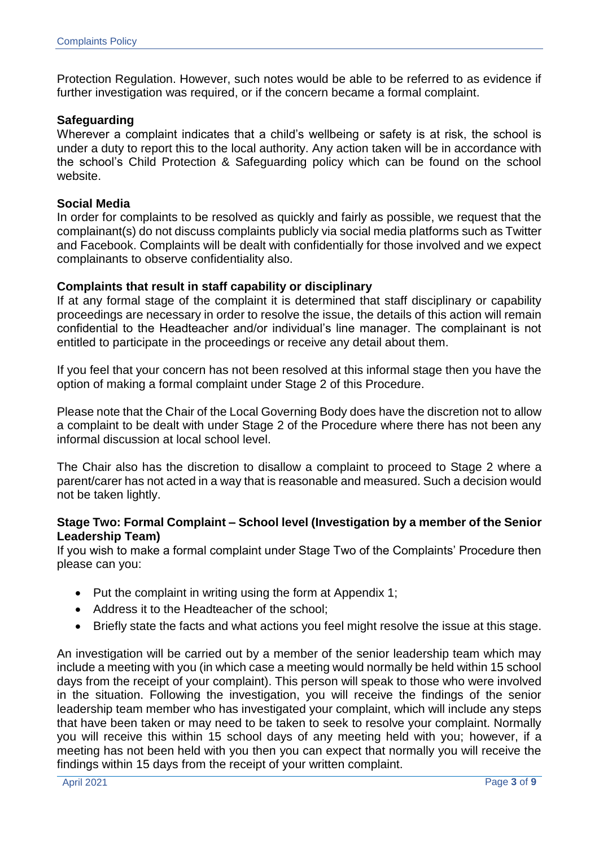Protection Regulation. However, such notes would be able to be referred to as evidence if further investigation was required, or if the concern became a formal complaint.

## **Safeguarding**

Wherever a complaint indicates that a child's wellbeing or safety is at risk, the school is under a duty to report this to the local authority. Any action taken will be in accordance with the school's Child Protection & Safeguarding policy which can be found on the school website.

## **Social Media**

In order for complaints to be resolved as quickly and fairly as possible, we request that the complainant(s) do not discuss complaints publicly via social media platforms such as Twitter and Facebook. Complaints will be dealt with confidentially for those involved and we expect complainants to observe confidentiality also.

## **Complaints that result in staff capability or disciplinary**

If at any formal stage of the complaint it is determined that staff disciplinary or capability proceedings are necessary in order to resolve the issue, the details of this action will remain confidential to the Headteacher and/or individual's line manager. The complainant is not entitled to participate in the proceedings or receive any detail about them.

If you feel that your concern has not been resolved at this informal stage then you have the option of making a formal complaint under Stage 2 of this Procedure.

Please note that the Chair of the Local Governing Body does have the discretion not to allow a complaint to be dealt with under Stage 2 of the Procedure where there has not been any informal discussion at local school level.

The Chair also has the discretion to disallow a complaint to proceed to Stage 2 where a parent/carer has not acted in a way that is reasonable and measured. Such a decision would not be taken lightly.

## **Stage Two: Formal Complaint – School level (Investigation by a member of the Senior Leadership Team)**

If you wish to make a formal complaint under Stage Two of the Complaints' Procedure then please can you:

- $\bullet$  Put the complaint in writing using the form at Appendix 1;
- Address it to the Headteacher of the school:
- Briefly state the facts and what actions you feel might resolve the issue at this stage.

An investigation will be carried out by a member of the senior leadership team which may include a meeting with you (in which case a meeting would normally be held within 15 school days from the receipt of your complaint). This person will speak to those who were involved in the situation. Following the investigation, you will receive the findings of the senior leadership team member who has investigated your complaint, which will include any steps that have been taken or may need to be taken to seek to resolve your complaint. Normally you will receive this within 15 school days of any meeting held with you; however, if a meeting has not been held with you then you can expect that normally you will receive the findings within 15 days from the receipt of your written complaint.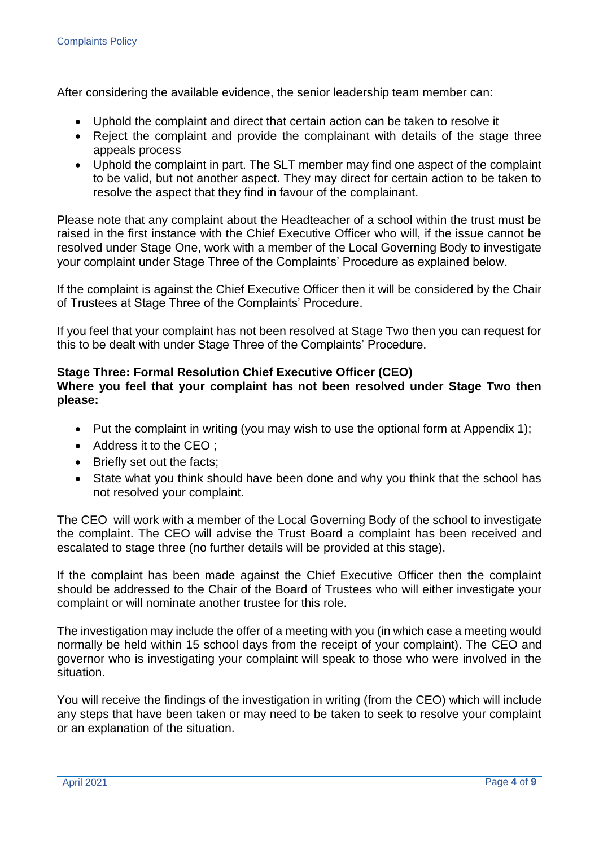After considering the available evidence, the senior leadership team member can:

- Uphold the complaint and direct that certain action can be taken to resolve it
- Reject the complaint and provide the complainant with details of the stage three appeals process
- Uphold the complaint in part. The SLT member may find one aspect of the complaint to be valid, but not another aspect. They may direct for certain action to be taken to resolve the aspect that they find in favour of the complainant.

Please note that any complaint about the Headteacher of a school within the trust must be raised in the first instance with the Chief Executive Officer who will, if the issue cannot be resolved under Stage One, work with a member of the Local Governing Body to investigate your complaint under Stage Three of the Complaints' Procedure as explained below.

If the complaint is against the Chief Executive Officer then it will be considered by the Chair of Trustees at Stage Three of the Complaints' Procedure.

If you feel that your complaint has not been resolved at Stage Two then you can request for this to be dealt with under Stage Three of the Complaints' Procedure.

## **Stage Three: Formal Resolution Chief Executive Officer (CEO) Where you feel that your complaint has not been resolved under Stage Two then please:**

- Put the complaint in writing (you may wish to use the optional form at Appendix 1);
- Address it to the CEO :
- Briefly set out the facts;
- State what you think should have been done and why you think that the school has not resolved your complaint.

The CEO will work with a member of the Local Governing Body of the school to investigate the complaint. The CEO will advise the Trust Board a complaint has been received and escalated to stage three (no further details will be provided at this stage).

If the complaint has been made against the Chief Executive Officer then the complaint should be addressed to the Chair of the Board of Trustees who will either investigate your complaint or will nominate another trustee for this role.

The investigation may include the offer of a meeting with you (in which case a meeting would normally be held within 15 school days from the receipt of your complaint). The CEO and governor who is investigating your complaint will speak to those who were involved in the situation.

You will receive the findings of the investigation in writing (from the CEO) which will include any steps that have been taken or may need to be taken to seek to resolve your complaint or an explanation of the situation.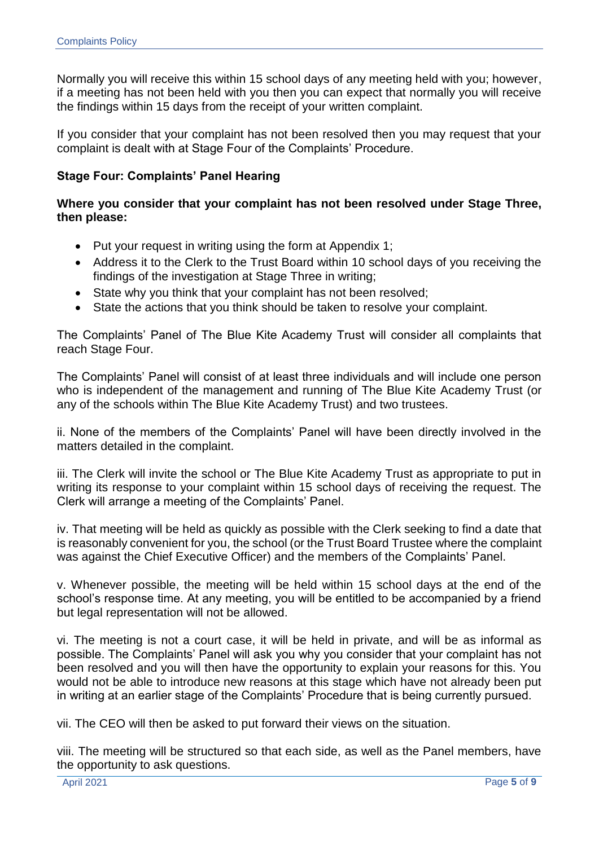Normally you will receive this within 15 school days of any meeting held with you; however, if a meeting has not been held with you then you can expect that normally you will receive the findings within 15 days from the receipt of your written complaint.

If you consider that your complaint has not been resolved then you may request that your complaint is dealt with at Stage Four of the Complaints' Procedure.

## **Stage Four: Complaints' Panel Hearing**

## **Where you consider that your complaint has not been resolved under Stage Three, then please:**

- Put your request in writing using the form at Appendix 1;
- Address it to the Clerk to the Trust Board within 10 school days of you receiving the findings of the investigation at Stage Three in writing;
- State why you think that your complaint has not been resolved;
- State the actions that you think should be taken to resolve your complaint.

The Complaints' Panel of The Blue Kite Academy Trust will consider all complaints that reach Stage Four.

The Complaints' Panel will consist of at least three individuals and will include one person who is independent of the management and running of The Blue Kite Academy Trust (or any of the schools within The Blue Kite Academy Trust) and two trustees.

ii. None of the members of the Complaints' Panel will have been directly involved in the matters detailed in the complaint.

iii. The Clerk will invite the school or The Blue Kite Academy Trust as appropriate to put in writing its response to your complaint within 15 school days of receiving the request. The Clerk will arrange a meeting of the Complaints' Panel.

iv. That meeting will be held as quickly as possible with the Clerk seeking to find a date that is reasonably convenient for you, the school (or the Trust Board Trustee where the complaint was against the Chief Executive Officer) and the members of the Complaints' Panel.

v. Whenever possible, the meeting will be held within 15 school days at the end of the school's response time. At any meeting, you will be entitled to be accompanied by a friend but legal representation will not be allowed.

vi. The meeting is not a court case, it will be held in private, and will be as informal as possible. The Complaints' Panel will ask you why you consider that your complaint has not been resolved and you will then have the opportunity to explain your reasons for this. You would not be able to introduce new reasons at this stage which have not already been put in writing at an earlier stage of the Complaints' Procedure that is being currently pursued.

vii. The CEO will then be asked to put forward their views on the situation.

viii. The meeting will be structured so that each side, as well as the Panel members, have the opportunity to ask questions.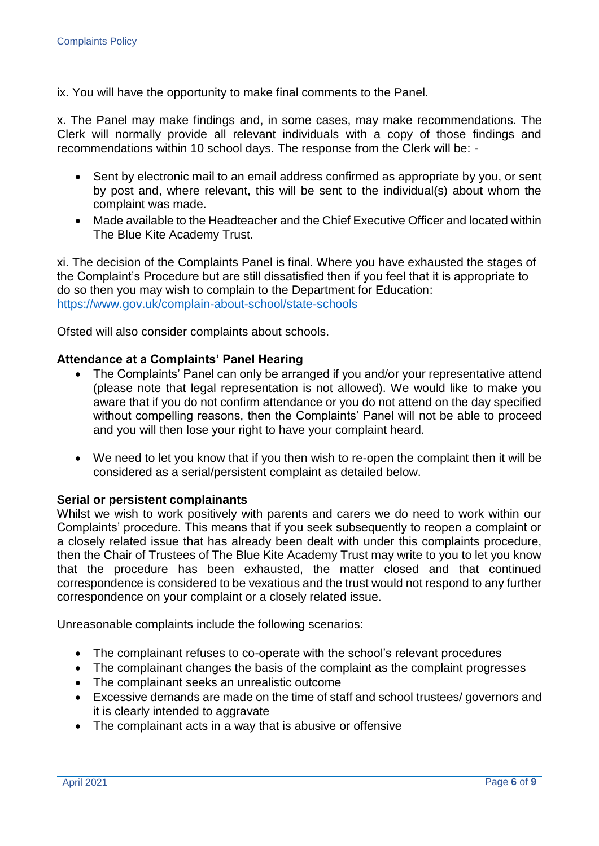ix. You will have the opportunity to make final comments to the Panel.

x. The Panel may make findings and, in some cases, may make recommendations. The Clerk will normally provide all relevant individuals with a copy of those findings and recommendations within 10 school days. The response from the Clerk will be: -

- Sent by electronic mail to an email address confirmed as appropriate by you, or sent by post and, where relevant, this will be sent to the individual(s) about whom the complaint was made.
- Made available to the Headteacher and the Chief Executive Officer and located within The Blue Kite Academy Trust.

xi. The decision of the Complaints Panel is final. Where you have exhausted the stages of the Complaint's Procedure but are still dissatisfied then if you feel that it is appropriate to do so then you may wish to complain to the Department for Education: <https://www.gov.uk/complain-about-school/state-schools>

Ofsted will also consider complaints about schools.

## **Attendance at a Complaints' Panel Hearing**

- The Complaints' Panel can only be arranged if you and/or your representative attend (please note that legal representation is not allowed). We would like to make you aware that if you do not confirm attendance or you do not attend on the day specified without compelling reasons, then the Complaints' Panel will not be able to proceed and you will then lose your right to have your complaint heard.
- We need to let you know that if you then wish to re-open the complaint then it will be considered as a serial/persistent complaint as detailed below.

#### **Serial or persistent complainants**

Whilst we wish to work positively with parents and carers we do need to work within our Complaints' procedure. This means that if you seek subsequently to reopen a complaint or a closely related issue that has already been dealt with under this complaints procedure, then the Chair of Trustees of The Blue Kite Academy Trust may write to you to let you know that the procedure has been exhausted, the matter closed and that continued correspondence is considered to be vexatious and the trust would not respond to any further correspondence on your complaint or a closely related issue.

Unreasonable complaints include the following scenarios:

- The complainant refuses to co-operate with the school's relevant procedures
- The complainant changes the basis of the complaint as the complaint progresses
- The complainant seeks an unrealistic outcome
- Excessive demands are made on the time of staff and school trustees/ governors and it is clearly intended to aggravate
- The complainant acts in a way that is abusive or offensive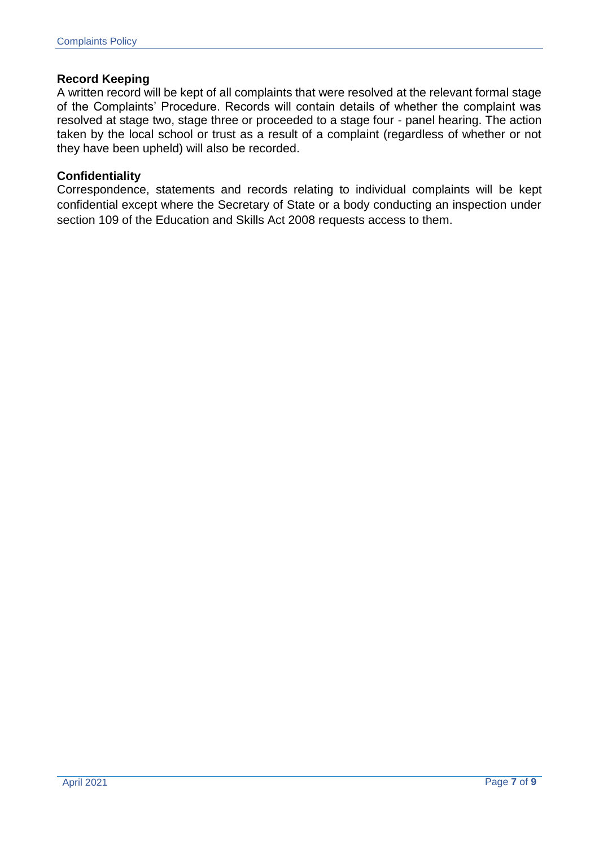## **Record Keeping**

A written record will be kept of all complaints that were resolved at the relevant formal stage of the Complaints' Procedure. Records will contain details of whether the complaint was resolved at stage two, stage three or proceeded to a stage four - panel hearing. The action taken by the local school or trust as a result of a complaint (regardless of whether or not they have been upheld) will also be recorded.

## **Confidentiality**

Correspondence, statements and records relating to individual complaints will be kept confidential except where the Secretary of State or a body conducting an inspection under section 109 of the Education and Skills Act 2008 requests access to them.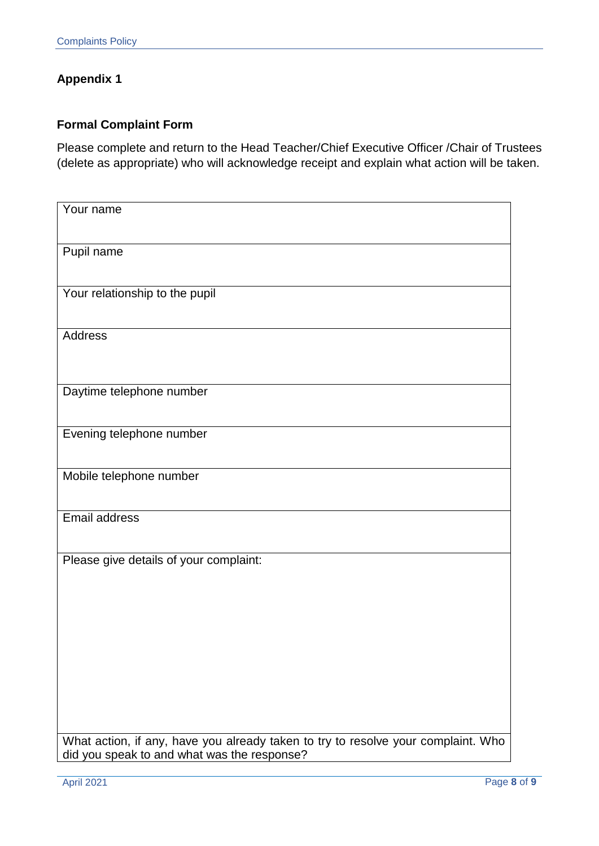# **Appendix 1**

## **Formal Complaint Form**

Please complete and return to the Head Teacher/Chief Executive Officer /Chair of Trustees (delete as appropriate) who will acknowledge receipt and explain what action will be taken.

| Your name                                                                                                                        |
|----------------------------------------------------------------------------------------------------------------------------------|
| Pupil name                                                                                                                       |
| Your relationship to the pupil                                                                                                   |
| Address                                                                                                                          |
| Daytime telephone number                                                                                                         |
| Evening telephone number                                                                                                         |
| Mobile telephone number                                                                                                          |
| Email address                                                                                                                    |
| Please give details of your complaint:                                                                                           |
|                                                                                                                                  |
|                                                                                                                                  |
|                                                                                                                                  |
| What action, if any, have you already taken to try to resolve your complaint. Who<br>did you speak to and what was the response? |